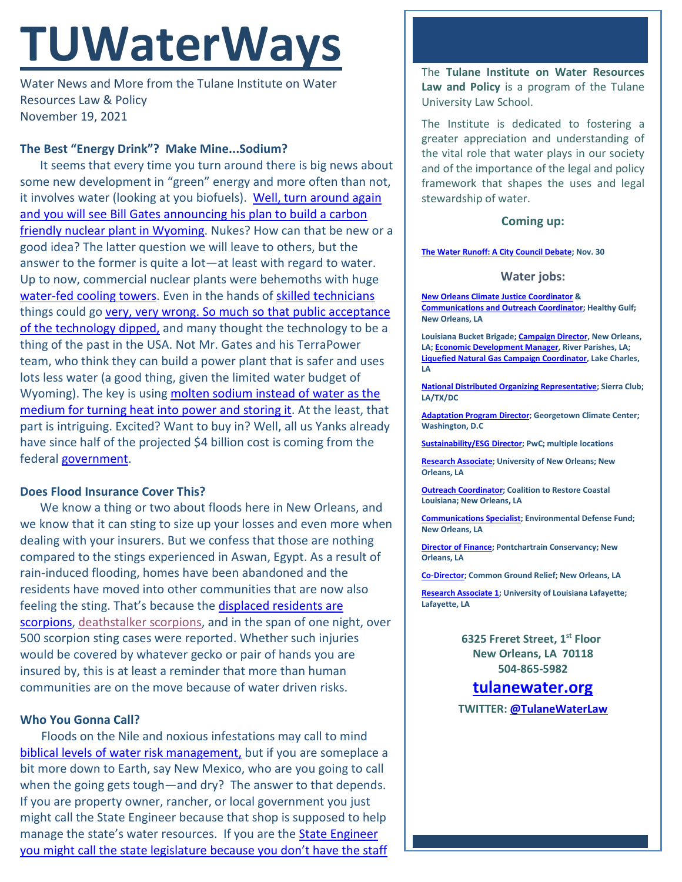# **TUWaterWays**

Water News and More from the Tulane Institute on Water Resources Law & Policy November 19, 2021

# **The Best "Energy Drink"? Make Mine...Sodium?**

It seems that every time you turn around there is big news about some new development in "green" energy and more often than not, it involves water (looking at you biofuels). Well, [turn around again](https://www.msn.com/en-us/news/world/bill-gates-nuclear-startup-picks-a-wyoming-coal-town-for-its-1st-advanced-reactor-which-will-cost-4-billion/ar-AAQRav7?ocid=entnewsntp&pc=U531)  [and you will see Bill Gates announcing his plan to build a carbon](https://www.msn.com/en-us/news/world/bill-gates-nuclear-startup-picks-a-wyoming-coal-town-for-its-1st-advanced-reactor-which-will-cost-4-billion/ar-AAQRav7?ocid=entnewsntp&pc=U531)  [friendly nuclear plant in Wyoming.](https://www.msn.com/en-us/news/world/bill-gates-nuclear-startup-picks-a-wyoming-coal-town-for-its-1st-advanced-reactor-which-will-cost-4-billion/ar-AAQRav7?ocid=entnewsntp&pc=U531) Nukes? How can that be new or a good idea? The latter question we will leave to others, but the answer to the former is quite a lot—at least with regard to water. Up to now, commercial nuclear plants were behemoths with huge [water-fed cooling towers.](https://www.extremetech.com/wp-content/uploads/2013/03/Nuclear-Cooling-Towers.jpg) Even in the hands of [skilled technicians](https://frinkiac.com/video/S05E09/m2Uag3dvu1eAXeMEVM4UyOCwFYo=.gif) things could go very, very wrong. So much so that public acceptance [of the technology dipped,](https://www.youtube.com/watch?v=ZpfkDEBno1M) and many thought the technology to be a thing of the past in the USA. Not Mr. Gates and his TerraPower team, who think they can build a power plant that is safer and uses lots less water (a good thing, given the limited water budget of Wyoming). The key is using molten [sodium instead of water](https://www.nei.org/news/2020/natrium-nuclear-pairs-renewables-energy-storage) as the [medium for turning heat into power and storing it.](https://www.nei.org/news/2020/natrium-nuclear-pairs-renewables-energy-storage) At the least, that part is intriguing. Excited? Want to buy in? Well, all us Yanks already have since half of the projected \$4 billion cost is coming from the federal **government**.

## **Does Flood Insurance Cover This?**

We know a thing or two about floods here in New Orleans, and we know that it can sting to size up your losses and even more when dealing with your insurers. But we confess that those are nothing compared to the stings experienced in Aswan, Egypt. As a result of rain-induced flooding, homes have been abandoned and the residents have moved into other communities that are now also feeling the sting. That's because the displaced residents are [scorpions,](https://www.nytimes.com/2021/11/15/world/middleeast/scorpions-egypt.html) [deathstalker scorpions,](https://www.youtube.com/watch?v=1gK0Db1ZF4w) and in the span of one night, over 500 scorpion sting cases were reported. Whether such injuries would be covered by whatever gecko or pair of hands you are insured by, this is at least a reminder that more than human communities are on the move because of water driven risks.

## **Who You Gonna Call?**

Floods on the Nile and noxious infestations may call to mind [biblical levels of water risk management,](https://www.hidefninja.com/community/attachments/tencommandments1-jpg.132452/) but if you are someplace a bit more down to Earth, say New Mexico, who are you going to call when the going gets tough—and dry? The answer to that depends. If you are property owner, rancher, or local government you just might call the State Engineer because that shop is supposed to help manage the state's water resources. If you are the [State Engineer](https://news.yahoo.com/mexico-lawmakers-pressed-water-priority-174452541.html)  [you might call the state legislature because you don't have the staff](https://news.yahoo.com/mexico-lawmakers-pressed-water-priority-174452541.html)  The **Tulane Institute on Water Resources Law and Policy** is a program of the Tulane University Law School.

The Institute is dedicated to fostering a greater appreciation and understanding of the vital role that water plays in our society and of the importance of the legal and policy framework that shapes the uses and legal stewardship of water.

## **Coming up:**

#### **[The Water Runoff: A City Council Debate;](https://www.eventbrite.com/e/the-water-runoff-a-city-council-debate-tickets-194607154237) Nov. 30**

#### **Water jobs:**

**[New Orleans Climate Justice Coordinator](https://www.healthygulf.org/job-opportunities-interships/new-orleans-climate-justice-organizer) & [Communications and Outreach Coordinator;](https://www.healthygulf.org/job-opportunities-interships/communications-and-outreach-coordinator) Healthy Gulf; New Orleans, LA**

**Louisiana Bucket Brigade[; Campaign Director,](https://labucketbrigade.org/now-hiring-campaign-director/) New Orleans, LA[; Economic Development Manager,](https://labucketbrigade.org/now-hiring-economic-development-manager/) River Parishes, LA; [Liquefied Natural Gas Campaign Coordinator,](https://labucketbrigade.org/now-hiring-liquefied-natural-gas-campaign-coordinator/) Lake Charles, LA**

**[National Distributed Organizing Representative;](https://phf.tbe.taleo.net/phf01/ats/careers/v2/viewRequisition?org=SIERRACLUB&cws=39&rid=1790) Sierra Club; LA/TX/DC**

**[Adaptation Program Director;](https://georgetown.wd1.myworkdayjobs.com/en-US/Georgetown_Admin_Careers/job/Law-Center/Adaptation-Program-Director--Georgetown-Climate-Center---Georgetown-University-Law-Center_JR10781) Georgetown Climate Center; Washington, D.C**

**[Sustainability/ESG Director;](https://jobs.us.pwc.com/job/-/-/932/8531402784?utm_source=linkedin.com&utm_campaign=core_media&utm_medium=social_media&utm_content=job_posting&ss=paid&dclid=CIHN-by5yvMCFUvrwAodK4kFqw) PwC; multiple locations**

**[Research Associate;](https://ulsuno.wd1.myworkdayjobs.com/en-US/UniversityOfNewOrleans/job/New-Orleans-La/Research-Associate-1_R-000365) University of New Orleans; New Orleans, LA**

**[Outreach Coordinator;](https://www.crcl.org/mrdoutreachcoord) Coalition to Restore Coastal Louisiana; New Orleans, LA**

**[Communications Specialist;](https://www.edf.org/jobs/communications-specialist-coastal-resilience) Environmental Defense Fund; New Orleans, LA**

**[Director of Finance;](https://scienceforourcoast.org/download/pc-director-of-finance/?ind=1635538282408&filename=Director%20Finance%20%20AccountingFinal.pdf&wpdmdl=20770&refresh=617c557b993fd1635538299) Pontchartrain Conservancy; New Orleans, LA**

**[Co-Director;](https://www.commongroundrelief.org/wp-content/uploads/2021/11/CGR-Co-Director-Listing-1.pdf?fbclid=IwAR2CqmhtOx_J8vqIIFfKvQ-je3lQljo9G7pTj2FSKdb_vYyOnEpYwVbR580) Common Ground Relief; New Orleans, LA**

**[Research Associate 1;](https://louisiana.csod.com/ux/ats/careersite/1/home/requisition/1576?c=louisiana) University of Louisiana Lafayette; Lafayette, LA**

> **6325 Freret Street, 1st Floor New Orleans, LA 70118 504-865-5982**

# **tulanewater.org**

**TWITTER: [@TulaneWaterLaw](http://www.twitter.com/TulaneWaterLaw)**